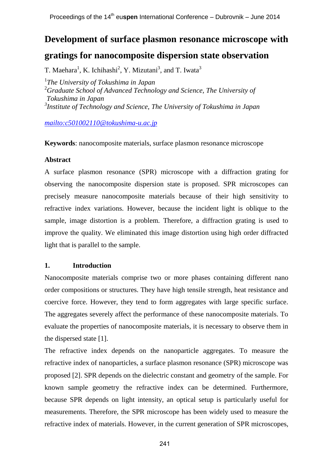# **Development of surface plasmon resonance microscope with gratings for nanocomposite dispersion state observation**

T. Maehara<sup>1</sup>, K. Ichihashi<sup>2</sup>, Y. Mizutani<sup>3</sup>, and T. Iwata<sup>3</sup>

 *The University of Tokushima in Japan Graduate School of Advanced Technology and Science, The University of Tokushima in Japan Institute of Technology and Science, The University of Tokushima in Japan*

*<mailto:c501002110@tokushima-u.ac.jp>*

**Keywords**: nanocomposite materials, surface plasmon resonance microscope

# **Abstract**

A surface plasmon resonance (SPR) microscope with a diffraction grating for observing the nanocomposite dispersion state is proposed. SPR microscopes can precisely measure nanocomposite materials because of their high sensitivity to refractive index variations. However, because the incident light is oblique to the sample, image distortion is a problem. Therefore, a diffraction grating is used to improve the quality. We eliminated this image distortion using high order diffracted light that is parallel to the sample.

# **1. Introduction**

Nanocomposite materials comprise two or more phases containing different nano order compositions or structures. They have high tensile strength, heat resistance and coercive force. However, they tend to form aggregates with large specific surface. The aggregates severely affect the performance of these nanocomposite materials. To evaluate the properties of nanocomposite materials, it is necessary to observe them in the dispersed state [1].

The refractive index depends on the nanoparticle aggregates. To measure the refractive index of nanoparticles, a surface plasmon resonance (SPR) microscope was proposed [2]. SPR depends on the dielectric constant and geometry of the sample. For known sample geometry the refractive index can be determined. Furthermore, because SPR depends on light intensity, an optical setup is particularly useful for measurements. Therefore, the SPR microscope has been widely used to measure the refractive index of materials. However, in the current generation of SPR microscopes,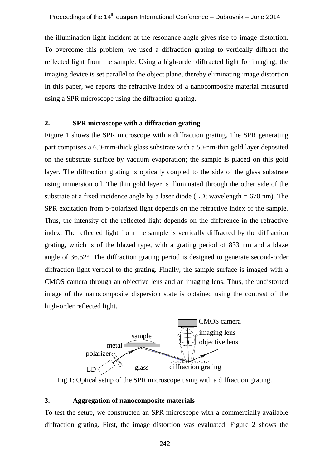the illumination light incident at the resonance angle gives rise to image distortion. To overcome this problem, we used a diffraction grating to vertically diffract the reflected light from the sample. Using a high-order diffracted light for imaging; the imaging device is set parallel to the object plane, thereby eliminating image distortion. In this paper, we reports the refractive index of a nanocomposite material measured using a SPR microscope using the diffraction grating.

## **2. SPR microscope with a diffraction grating**

Figure 1 shows the SPR microscope with a diffraction grating. The SPR generating part comprises a 6.0-mm-thick glass substrate with a 50-nm-thin gold layer deposited on the substrate surface by vacuum evaporation; the sample is placed on this gold layer. The diffraction grating is optically coupled to the side of the glass substrate using immersion oil. The thin gold layer is illuminated through the other side of the substrate at a fixed incidence angle by a laser diode (LD; wavelength  $= 670$  nm). The SPR excitation from p-polarized light depends on the refractive index of the sample. Thus, the intensity of the reflected light depends on the difference in the refractive index. The reflected light from the sample is vertically diffracted by the diffraction grating, which is of the blazed type, with a grating period of 833 nm and a blaze angle of 36.52°. The diffraction grating period is designed to generate second-order diffraction light vertical to the grating. Finally, the sample surface is imaged with a CMOS camera through an objective lens and an imaging lens. Thus, the undistorted image of the nanocomposite dispersion state is obtained using the contrast of the high-order reflected light.



Fig.1: Optical setup of the SPR microscope using with a diffraction grating.

## **3. Aggregation of nanocomposite materials**

To test the setup, we constructed an SPR microscope with a commercially available diffraction grating. First, the image distortion was evaluated. Figure 2 shows the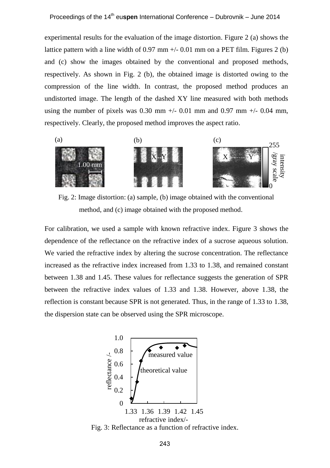experimental results for the evaluation of the image distortion. Figure 2 (a) shows the lattice pattern with a line width of  $0.97$  mm  $+/-0.01$  mm on a PET film. Figures 2 (b) and (c) show the images obtained by the conventional and proposed methods, respectively. As shown in Fig. 2 (b), the obtained image is distorted owing to the compression of the line width. In contrast, the proposed method produces an undistorted image. The length of the dashed XY line measured with both methods using the number of pixels was 0.30 mm  $+/$  0.01 mm and 0.97 mm  $+/$  0.04 mm, respectively. Clearly, the proposed method improves the aspect ratio.



Fig. 2: Image distortion: (a) sample, (b) image obtained with the conventional method, and (c) image obtained with the proposed method.

For calibration, we used a sample with known refractive index. Figure 3 shows the dependence of the reflectance on the refractive index of a sucrose aqueous solution. We varied the refractive index by altering the sucrose concentration. The reflectance increased as the refractive index increased from 1.33 to 1.38, and remained constant between 1.38 and 1.45. These values for reflectance suggests the generation of SPR between the refractive index values of 1.33 and 1.38. However, above 1.38, the reflection is constant because SPR is not generated. Thus, in the range of 1.33 to 1.38, the dispersion state can be observed using the SPR microscope.